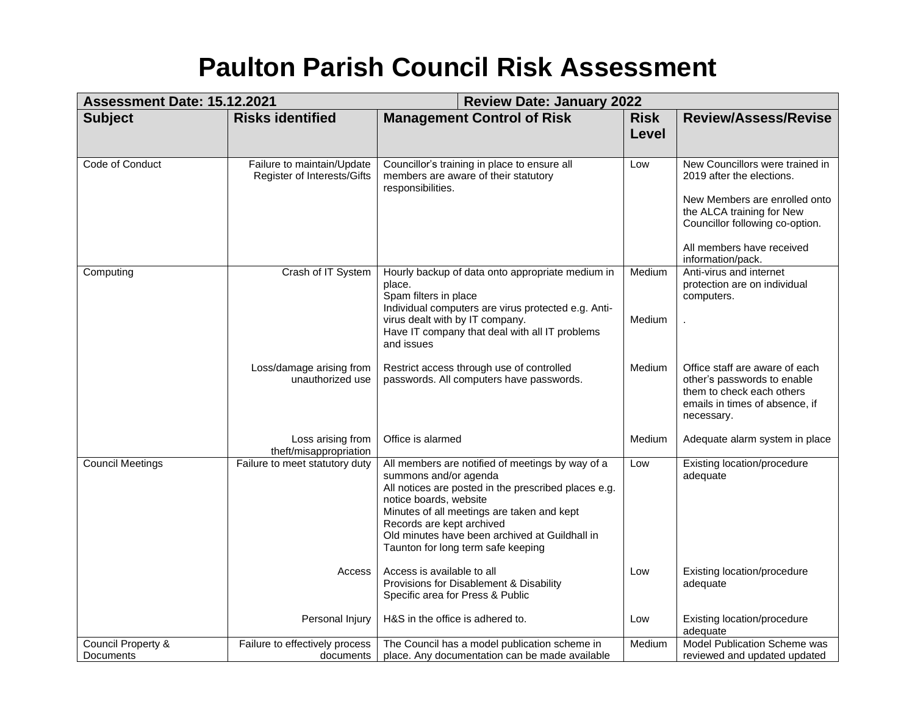## **Paulton Parish Council Risk Assessment**

| <b>Management Control of Risk</b><br><b>Risks identified</b><br><b>Subject</b><br><b>Risk</b>                                                                                                                                                                                                                                                                                                                  |                                                                                                                                                                                                                 |
|----------------------------------------------------------------------------------------------------------------------------------------------------------------------------------------------------------------------------------------------------------------------------------------------------------------------------------------------------------------------------------------------------------------|-----------------------------------------------------------------------------------------------------------------------------------------------------------------------------------------------------------------|
| <b>Level</b>                                                                                                                                                                                                                                                                                                                                                                                                   | <b>Review/Assess/Revise</b>                                                                                                                                                                                     |
| Code of Conduct<br>Failure to maintain/Update<br>Councillor's training in place to ensure all<br>Low<br>Register of Interests/Gifts<br>members are aware of their statutory<br>responsibilities.                                                                                                                                                                                                               | New Councillors were trained in<br>2019 after the elections.<br>New Members are enrolled onto<br>the ALCA training for New<br>Councillor following co-option.<br>All members have received<br>information/pack. |
| Crash of IT System<br>Hourly backup of data onto appropriate medium in<br>Medium<br>Computing<br>place.<br>Spam filters in place<br>computers.<br>Individual computers are virus protected e.g. Anti-<br>virus dealt with by IT company.<br>Medium<br>Have IT company that deal with all IT problems<br>and issues                                                                                             | Anti-virus and internet<br>protection are on individual                                                                                                                                                         |
| Loss/damage arising from<br>Restrict access through use of controlled<br>Medium<br>unauthorized use<br>passwords. All computers have passwords.<br>necessary.                                                                                                                                                                                                                                                  | Office staff are aware of each<br>other's passwords to enable<br>them to check each others<br>emails in times of absence, if                                                                                    |
| Loss arising from<br>Office is alarmed<br>Medium<br>theft/misappropriation                                                                                                                                                                                                                                                                                                                                     | Adequate alarm system in place                                                                                                                                                                                  |
| <b>Council Meetings</b><br>All members are notified of meetings by way of a<br>Failure to meet statutory duty<br>Low<br>summons and/or agenda<br>adequate<br>All notices are posted in the prescribed places e.g.<br>notice boards, website<br>Minutes of all meetings are taken and kept<br>Records are kept archived<br>Old minutes have been archived at Guildhall in<br>Taunton for long term safe keeping | Existing location/procedure                                                                                                                                                                                     |
| Access is available to all<br>Access<br>Low<br>Provisions for Disablement & Disability<br>adequate<br>Specific area for Press & Public                                                                                                                                                                                                                                                                         | Existing location/procedure                                                                                                                                                                                     |
| Personal Injury<br>H&S in the office is adhered to.<br>Low<br>adequate                                                                                                                                                                                                                                                                                                                                         | Existing location/procedure                                                                                                                                                                                     |
| Council Property &<br>Failure to effectively process<br>The Council has a model publication scheme in<br>Medium<br>Documents<br>place. Any documentation can be made available<br>documents                                                                                                                                                                                                                    | Model Publication Scheme was<br>reviewed and updated updated                                                                                                                                                    |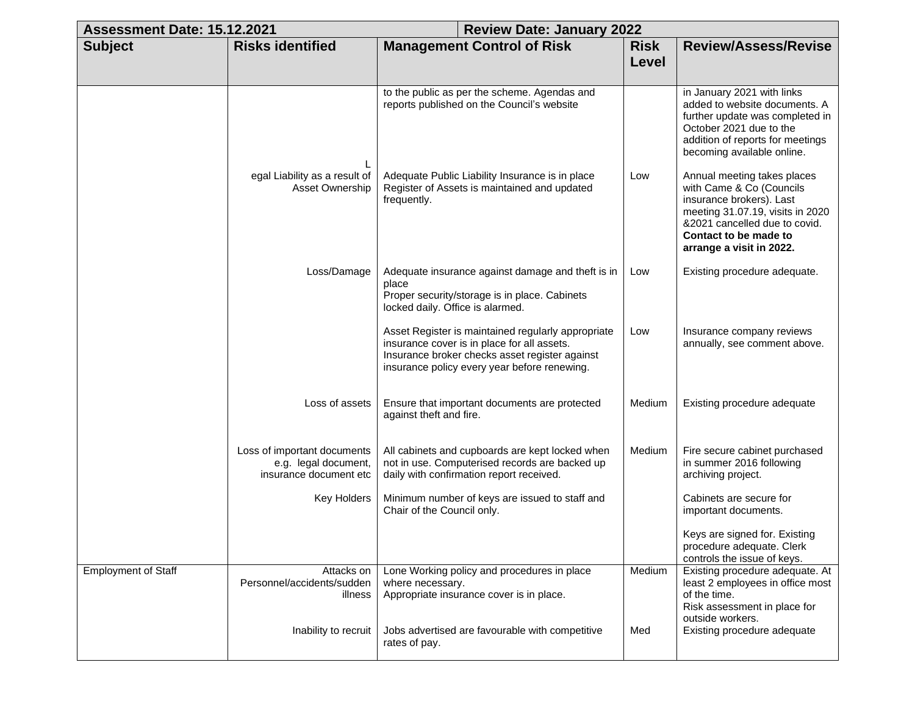| Assessment Date: 15.12.2021 |                                                                               | <b>Review Date: January 2022</b>                                                                                                                                                                    |                      |                                                                                                                                                                                                               |
|-----------------------------|-------------------------------------------------------------------------------|-----------------------------------------------------------------------------------------------------------------------------------------------------------------------------------------------------|----------------------|---------------------------------------------------------------------------------------------------------------------------------------------------------------------------------------------------------------|
| <b>Subject</b>              | <b>Risks identified</b>                                                       | <b>Management Control of Risk</b>                                                                                                                                                                   | <b>Risk</b><br>Level | <b>Review/Assess/Revise</b>                                                                                                                                                                                   |
|                             | L                                                                             | to the public as per the scheme. Agendas and<br>reports published on the Council's website                                                                                                          |                      | in January 2021 with links<br>added to website documents. A<br>further update was completed in<br>October 2021 due to the<br>addition of reports for meetings<br>becoming available online.                   |
|                             | egal Liability as a result of<br><b>Asset Ownership</b>                       | Adequate Public Liability Insurance is in place<br>Register of Assets is maintained and updated<br>frequently.                                                                                      | Low                  | Annual meeting takes places<br>with Came & Co (Councils<br>insurance brokers). Last<br>meeting 31.07.19, visits in 2020<br>&2021 cancelled due to covid.<br>Contact to be made to<br>arrange a visit in 2022. |
|                             | Loss/Damage                                                                   | Adequate insurance against damage and theft is in<br>place<br>Proper security/storage is in place. Cabinets<br>locked daily. Office is alarmed.                                                     | Low                  | Existing procedure adequate.                                                                                                                                                                                  |
|                             |                                                                               | Asset Register is maintained regularly appropriate<br>insurance cover is in place for all assets.<br>Insurance broker checks asset register against<br>insurance policy every year before renewing. | Low                  | Insurance company reviews<br>annually, see comment above.                                                                                                                                                     |
|                             | Loss of assets                                                                | Ensure that important documents are protected<br>against theft and fire.                                                                                                                            | Medium               | Existing procedure adequate                                                                                                                                                                                   |
|                             | Loss of important documents<br>e.g. legal document,<br>insurance document etc | All cabinets and cupboards are kept locked when<br>not in use. Computerised records are backed up<br>daily with confirmation report received.                                                       | Medium               | Fire secure cabinet purchased<br>in summer 2016 following<br>archiving project.                                                                                                                               |
|                             | Key Holders                                                                   | Minimum number of keys are issued to staff and<br>Chair of the Council only.                                                                                                                        |                      | Cabinets are secure for<br>important documents.                                                                                                                                                               |
|                             |                                                                               |                                                                                                                                                                                                     |                      | Keys are signed for. Existing<br>procedure adequate. Clerk<br>controls the issue of keys.                                                                                                                     |
| <b>Employment of Staff</b>  | Attacks on<br>Personnel/accidents/sudden<br>illness                           | Lone Working policy and procedures in place<br>where necessary.<br>Appropriate insurance cover is in place.                                                                                         | Medium               | Existing procedure adequate. At<br>least 2 employees in office most<br>of the time.<br>Risk assessment in place for<br>outside workers.                                                                       |
|                             | Inability to recruit                                                          | Jobs advertised are favourable with competitive<br>rates of pay.                                                                                                                                    | Med                  | Existing procedure adequate                                                                                                                                                                                   |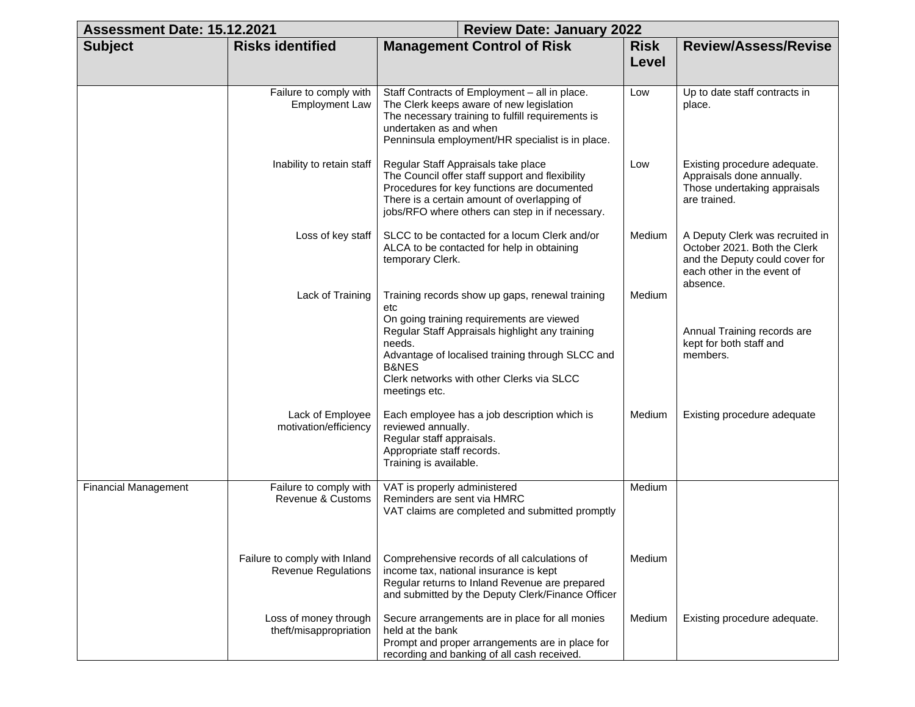| Assessment Date: 15.12.2021 |                                                             | <b>Review Date: January 2022</b>                                                                                                                                                                                                                                                                       |                      |                                                                                                                                             |
|-----------------------------|-------------------------------------------------------------|--------------------------------------------------------------------------------------------------------------------------------------------------------------------------------------------------------------------------------------------------------------------------------------------------------|----------------------|---------------------------------------------------------------------------------------------------------------------------------------------|
| <b>Subject</b>              | <b>Risks identified</b>                                     | <b>Management Control of Risk</b>                                                                                                                                                                                                                                                                      | <b>Risk</b><br>Level | <b>Review/Assess/Revise</b>                                                                                                                 |
|                             |                                                             |                                                                                                                                                                                                                                                                                                        |                      |                                                                                                                                             |
|                             | Failure to comply with<br><b>Employment Law</b>             | Staff Contracts of Employment - all in place.<br>The Clerk keeps aware of new legislation<br>The necessary training to fulfill requirements is<br>undertaken as and when<br>Penninsula employment/HR specialist is in place.                                                                           | Low                  | Up to date staff contracts in<br>place.                                                                                                     |
|                             | Inability to retain staff                                   | Regular Staff Appraisals take place<br>The Council offer staff support and flexibility<br>Procedures for key functions are documented<br>There is a certain amount of overlapping of<br>jobs/RFO where others can step in if necessary.                                                                | Low                  | Existing procedure adequate.<br>Appraisals done annually.<br>Those undertaking appraisals<br>are trained.                                   |
|                             | Loss of key staff                                           | SLCC to be contacted for a locum Clerk and/or<br>ALCA to be contacted for help in obtaining<br>temporary Clerk.                                                                                                                                                                                        | Medium               | A Deputy Clerk was recruited in<br>October 2021. Both the Clerk<br>and the Deputy could cover for<br>each other in the event of<br>absence. |
|                             | Lack of Training                                            | Training records show up gaps, renewal training<br>etc<br>On going training requirements are viewed<br>Regular Staff Appraisals highlight any training<br>needs.<br>Advantage of localised training through SLCC and<br><b>B&amp;NES</b><br>Clerk networks with other Clerks via SLCC<br>meetings etc. | Medium               | Annual Training records are<br>kept for both staff and<br>members.                                                                          |
|                             | Lack of Employee<br>motivation/efficiency                   | Each employee has a job description which is<br>reviewed annually.<br>Regular staff appraisals.<br>Appropriate staff records.<br>Training is available.                                                                                                                                                | Medium               | Existing procedure adequate                                                                                                                 |
| <b>Financial Management</b> | Failure to comply with<br>Revenue & Customs                 | VAT is properly administered<br>Reminders are sent via HMRC<br>VAT claims are completed and submitted promptly                                                                                                                                                                                         | Medium               |                                                                                                                                             |
|                             | Failure to comply with Inland<br><b>Revenue Regulations</b> | Comprehensive records of all calculations of<br>income tax, national insurance is kept<br>Regular returns to Inland Revenue are prepared<br>and submitted by the Deputy Clerk/Finance Officer                                                                                                          | Medium               |                                                                                                                                             |
|                             | Loss of money through<br>theft/misappropriation             | Secure arrangements are in place for all monies<br>held at the bank<br>Prompt and proper arrangements are in place for<br>recording and banking of all cash received.                                                                                                                                  | Medium               | Existing procedure adequate.                                                                                                                |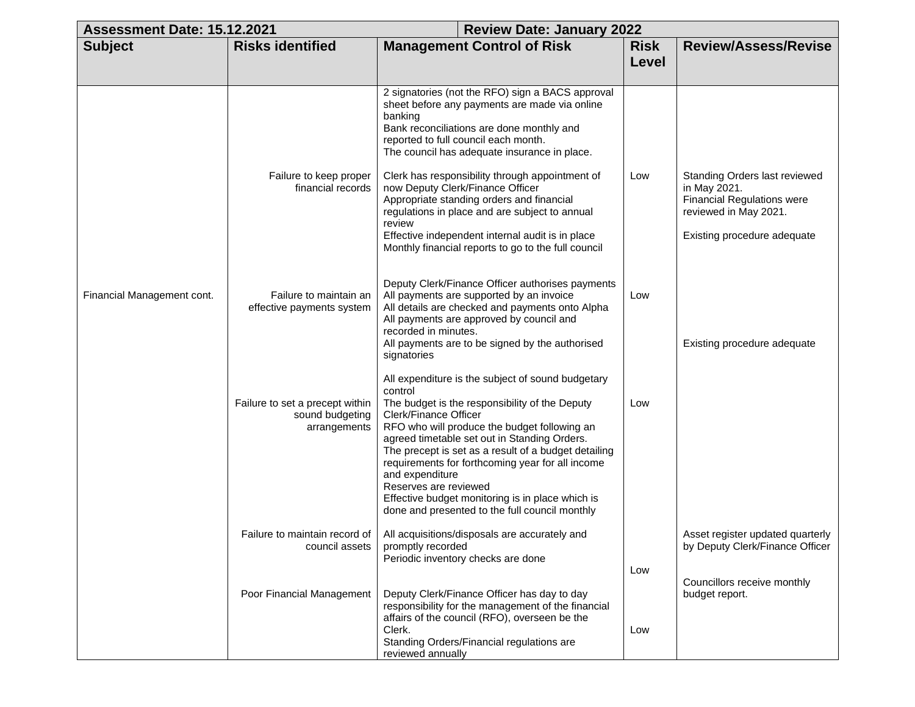| Assessment Date: 15.12.2021 |                                                                    |                                                                                                                                                                                                                                                                                                                                                                                                                                                                                                       | <b>Review Date: January 2022</b> |                                                                                                                                            |  |
|-----------------------------|--------------------------------------------------------------------|-------------------------------------------------------------------------------------------------------------------------------------------------------------------------------------------------------------------------------------------------------------------------------------------------------------------------------------------------------------------------------------------------------------------------------------------------------------------------------------------------------|----------------------------------|--------------------------------------------------------------------------------------------------------------------------------------------|--|
| <b>Subject</b>              | <b>Risks identified</b>                                            | <b>Management Control of Risk</b>                                                                                                                                                                                                                                                                                                                                                                                                                                                                     | <b>Risk</b>                      | <b>Review/Assess/Revise</b>                                                                                                                |  |
|                             |                                                                    |                                                                                                                                                                                                                                                                                                                                                                                                                                                                                                       | Level                            |                                                                                                                                            |  |
|                             |                                                                    | 2 signatories (not the RFO) sign a BACS approval<br>sheet before any payments are made via online<br>banking<br>Bank reconciliations are done monthly and<br>reported to full council each month.<br>The council has adequate insurance in place.                                                                                                                                                                                                                                                     |                                  |                                                                                                                                            |  |
|                             | Failure to keep proper<br>financial records                        | Clerk has responsibility through appointment of<br>now Deputy Clerk/Finance Officer<br>Appropriate standing orders and financial<br>regulations in place and are subject to annual<br>review<br>Effective independent internal audit is in place<br>Monthly financial reports to go to the full council                                                                                                                                                                                               | Low                              | Standing Orders last reviewed<br>in May 2021.<br><b>Financial Regulations were</b><br>reviewed in May 2021.<br>Existing procedure adequate |  |
| Financial Management cont.  | Failure to maintain an<br>effective payments system                | Deputy Clerk/Finance Officer authorises payments<br>All payments are supported by an invoice<br>All details are checked and payments onto Alpha<br>All payments are approved by council and<br>recorded in minutes.<br>All payments are to be signed by the authorised<br>signatories                                                                                                                                                                                                                 | Low                              | Existing procedure adequate                                                                                                                |  |
|                             | Failure to set a precept within<br>sound budgeting<br>arrangements | All expenditure is the subject of sound budgetary<br>control<br>The budget is the responsibility of the Deputy<br>Clerk/Finance Officer<br>RFO who will produce the budget following an<br>agreed timetable set out in Standing Orders.<br>The precept is set as a result of a budget detailing<br>requirements for forthcoming year for all income<br>and expenditure<br>Reserves are reviewed<br>Effective budget monitoring is in place which is<br>done and presented to the full council monthly | Low                              |                                                                                                                                            |  |
|                             | council assets                                                     | Failure to maintain record of   All acquisitions/disposals are accurately and<br>promptly recorded<br>Periodic inventory checks are done                                                                                                                                                                                                                                                                                                                                                              | Low                              | Asset register updated quarterly<br>by Deputy Clerk/Finance Officer                                                                        |  |
|                             | Poor Financial Management                                          | Deputy Clerk/Finance Officer has day to day<br>responsibility for the management of the financial<br>affairs of the council (RFO), overseen be the<br>Clerk.<br>Standing Orders/Financial regulations are<br>reviewed annually                                                                                                                                                                                                                                                                        | Low                              | Councillors receive monthly<br>budget report.                                                                                              |  |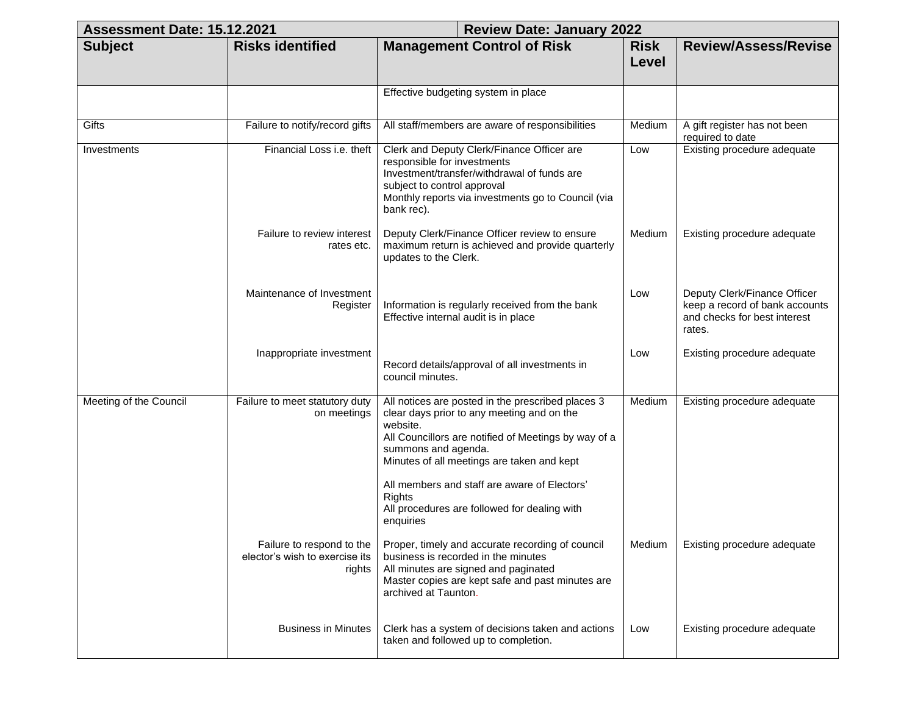| Assessment Date: 15.12.2021 |                                                                       | <b>Review Date: January 2022</b>                                                                                                                                                                                                                                                                                                                          |                      |                                                                                                          |
|-----------------------------|-----------------------------------------------------------------------|-----------------------------------------------------------------------------------------------------------------------------------------------------------------------------------------------------------------------------------------------------------------------------------------------------------------------------------------------------------|----------------------|----------------------------------------------------------------------------------------------------------|
| <b>Subject</b>              | <b>Risks identified</b>                                               | <b>Management Control of Risk</b>                                                                                                                                                                                                                                                                                                                         | <b>Risk</b><br>Level | <b>Review/Assess/Revise</b>                                                                              |
|                             |                                                                       | Effective budgeting system in place                                                                                                                                                                                                                                                                                                                       |                      |                                                                                                          |
| Gifts                       | Failure to notify/record gifts                                        | All staff/members are aware of responsibilities                                                                                                                                                                                                                                                                                                           | Medium               | A gift register has not been<br>required to date                                                         |
| Investments                 | Financial Loss i.e. theft                                             | Clerk and Deputy Clerk/Finance Officer are<br>responsible for investments<br>Investment/transfer/withdrawal of funds are<br>subject to control approval<br>Monthly reports via investments go to Council (via<br>bank rec).                                                                                                                               | Low                  | Existing procedure adequate                                                                              |
|                             | Failure to review interest<br>rates etc.                              | Deputy Clerk/Finance Officer review to ensure<br>maximum return is achieved and provide quarterly<br>updates to the Clerk.                                                                                                                                                                                                                                | Medium               | Existing procedure adequate                                                                              |
|                             | Maintenance of Investment<br>Register                                 | Information is regularly received from the bank<br>Effective internal audit is in place                                                                                                                                                                                                                                                                   | Low                  | Deputy Clerk/Finance Officer<br>keep a record of bank accounts<br>and checks for best interest<br>rates. |
|                             | Inappropriate investment                                              | Record details/approval of all investments in<br>council minutes.                                                                                                                                                                                                                                                                                         | Low                  | Existing procedure adequate                                                                              |
| Meeting of the Council      | Failure to meet statutory duty<br>on meetings                         | All notices are posted in the prescribed places 3<br>clear days prior to any meeting and on the<br>website.<br>All Councillors are notified of Meetings by way of a<br>summons and agenda.<br>Minutes of all meetings are taken and kept<br>All members and staff are aware of Electors'<br><b>Rights</b><br>All procedures are followed for dealing with | Medium               | Existing procedure adequate                                                                              |
|                             | Failure to respond to the<br>elector's wish to exercise its<br>rights | enquiries<br>Proper, timely and accurate recording of council<br>business is recorded in the minutes<br>All minutes are signed and paginated<br>Master copies are kept safe and past minutes are<br>archived at Taunton.                                                                                                                                  | Medium               | Existing procedure adequate                                                                              |
|                             | <b>Business in Minutes</b>                                            | Clerk has a system of decisions taken and actions<br>taken and followed up to completion.                                                                                                                                                                                                                                                                 | Low                  | Existing procedure adequate                                                                              |